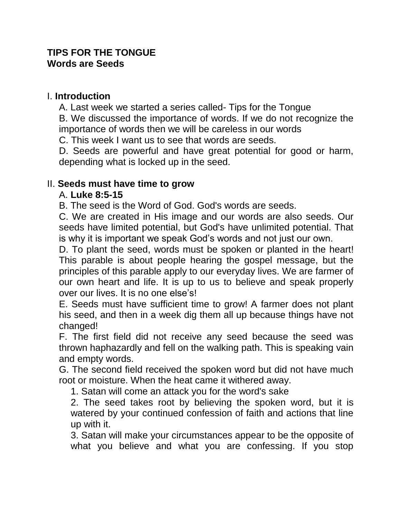## **TIPS FOR THE TONGUE Words are Seeds**

## I. **Introduction**

A. Last week we started a series called- Tips for the Tongue

B. We discussed the importance of words. If we do not recognize the importance of words then we will be careless in our words

C. This week I want us to see that words are seeds.

D. Seeds are powerful and have great potential for good or harm, depending what is locked up in the seed.

## II. **Seeds must have time to grow**

## A. **Luke 8:5-15**

B. The seed is the Word of God. God's words are seeds.

C. We are created in His image and our words are also seeds. Our seeds have limited potential, but God's have unlimited potential. That is why it is important we speak God's words and not just our own.

D. To plant the seed, words must be spoken or planted in the heart! This parable is about people hearing the gospel message, but the principles of this parable apply to our everyday lives. We are farmer of our own heart and life. It is up to us to believe and speak properly over our lives. It is no one else's!

E. Seeds must have sufficient time to grow! A farmer does not plant his seed, and then in a week dig them all up because things have not changed!

F. The first field did not receive any seed because the seed was thrown haphazardly and fell on the walking path. This is speaking vain and empty words.

G. The second field received the spoken word but did not have much root or moisture. When the heat came it withered away.

1. Satan will come an attack you for the word's sake

2. The seed takes root by believing the spoken word, but it is watered by your continued confession of faith and actions that line up with it.

3. Satan will make your circumstances appear to be the opposite of what you believe and what you are confessing. If you stop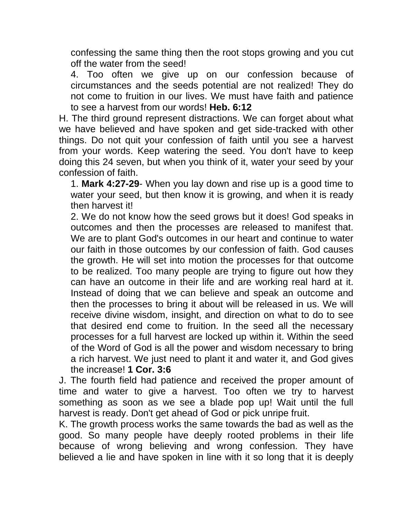confessing the same thing then the root stops growing and you cut off the water from the seed!

4. Too often we give up on our confession because of circumstances and the seeds potential are not realized! They do not come to fruition in our lives. We must have faith and patience to see a harvest from our words! **Heb. 6:12**

H. The third ground represent distractions. We can forget about what we have believed and have spoken and get side-tracked with other things. Do not quit your confession of faith until you see a harvest from your words. Keep watering the seed. You don't have to keep doing this 24 seven, but when you think of it, water your seed by your confession of faith.

1. **Mark 4:27-29**- When you lay down and rise up is a good time to water your seed, but then know it is growing, and when it is ready then harvest it!

2. We do not know how the seed grows but it does! God speaks in outcomes and then the processes are released to manifest that. We are to plant God's outcomes in our heart and continue to water our faith in those outcomes by our confession of faith. God causes the growth. He will set into motion the processes for that outcome to be realized. Too many people are trying to figure out how they can have an outcome in their life and are working real hard at it. Instead of doing that we can believe and speak an outcome and then the processes to bring it about will be released in us. We will receive divine wisdom, insight, and direction on what to do to see that desired end come to fruition. In the seed all the necessary processes for a full harvest are locked up within it. Within the seed of the Word of God is all the power and wisdom necessary to bring a rich harvest. We just need to plant it and water it, and God gives the increase! **1 Cor. 3:6**

J. The fourth field had patience and received the proper amount of time and water to give a harvest. Too often we try to harvest something as soon as we see a blade pop up! Wait until the full harvest is ready. Don't get ahead of God or pick unripe fruit.

K. The growth process works the same towards the bad as well as the good. So many people have deeply rooted problems in their life because of wrong believing and wrong confession. They have believed a lie and have spoken in line with it so long that it is deeply